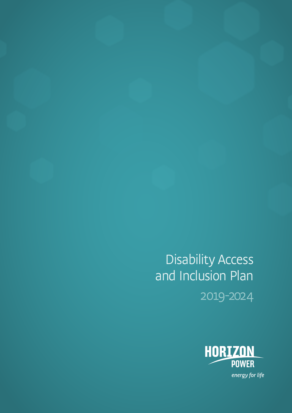Disability Access and Inclusion Plan 2019-2024

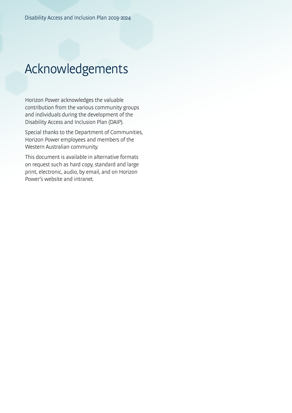## Acknowledgements

Horizon Power acknowledges the valuable contribution from the various community groups and individuals during the development of the Disability Access and Inclusion Plan (DAIP).

Special thanks to the Department of Communities, Horizon Power employees and members of the Western Australian community.

This document is available in alternative formats on request such as hard copy, standard and large print, electronic, audio, by email, and on Horizon Power's website and intranet.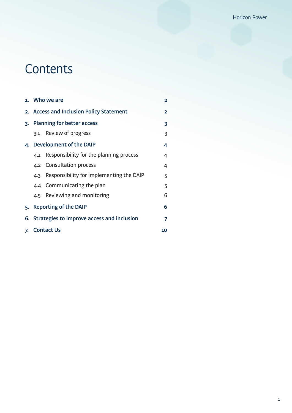# **Contents**

|    |                                                    | 1. Who we are                            | $\overline{2}$ |
|----|----------------------------------------------------|------------------------------------------|----------------|
|    | 2. Access and Inclusion Policy Statement           |                                          | $\overline{2}$ |
|    | 3. Planning for better access                      |                                          | 3              |
|    |                                                    | 3.1 Review of progress                   | 3              |
|    |                                                    | 4. Development of the DAIP               | 4              |
|    | 4.1                                                | Responsibility for the planning process  | 4              |
|    |                                                    | 4.2 Consultation process                 | 4              |
|    | 4.3                                                | Responsibility for implementing the DAIP | 5              |
|    |                                                    | 4.4 Communicating the plan               | 5              |
|    | 4.5                                                | Reviewing and monitoring                 | 6              |
| 5. |                                                    | Reporting of the DAIP                    | 6              |
|    | 6. Strategies to improve access and inclusion<br>7 |                                          |                |
| 7. | <b>Contact Us</b><br>10                            |                                          |                |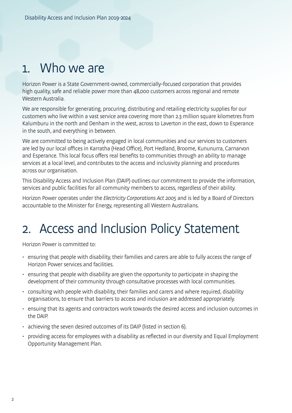## 1. Who we are

Horizon Power is a State Government-owned, commercially-focused corporation that provides high quality, safe and reliable power more than 48,000 customers across regional and remote Western Australia.

We are responsible for generating, procuring, distributing and retailing electricity supplies for our customers who live within a vast service area covering more than 2.3 million square kilometres from Kalumburu in the north and Denham in the west, across to Laverton in the east, down to Esperance in the south, and everything in between.

We are committed to being actively engaged in local communities and our services to customers are led by our local offices in Karratha (Head Office), Port Hedland, Broome, Kununurra, Carnarvon and Esperance. This local focus offers real benefits to communities through an ability to manage services at a local level, and contributes to the access and inclusivity planning and procedures across our organisation.

This Disability Access and Inclusion Plan (DAIP) outlines our commitment to provide the information, services and public facilities for all community members to access, regardless of their ability.

Horizon Power operates under the Electricity Corporations Act 2005 and is led by a Board of Directors accountable to the Minister for Energy, representing all Western Australians.

## 2. Access and Inclusion Policy Statement

Horizon Power is committed to:

- ensuring that people with disability, their families and carers are able to fully access the range of Horizon Power services and facilities.
- ensuring that people with disability are given the opportunity to participate in shaping the development of their community through consultative processes with local communities.
- consulting with people with disability, their families and carers and where required, disability organisations, to ensure that barriers to access and inclusion are addressed appropriately.
- ensuing that its agents and contractors work towards the desired access and inclusion outcomes in the DAIP.
- achieving the seven desired outcomes of its DAIP (listed in section 6).
- providing access for employees with a disability as reflected in our diversity and Equal Employment Opportunity Management Plan.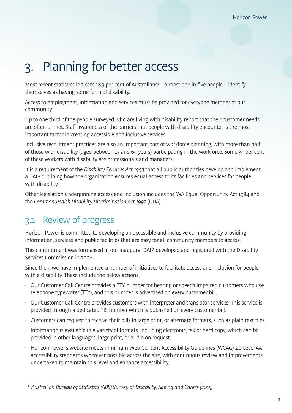# 3. Planning for better access

Most recent statistics indicate 18.3 per cent of Australians<sup>1</sup>  $-$  almost one in five people  $-$  identify themselves as having some form of disability.

Access to employment, information and services must be provided for everyone member of our community.

Up to one third of the people surveyed who are living with disability report that their customer needs are often unmet. Staff awareness of the barriers that people with disability encounter is the most important factor in creating accessible and inclusive services.

Inclusive recruitment practices are also an important part of workforce planning, with more than half of those with disability (aged between 15 and 64 years) participating in the workforce. Some 34 per cent of these workers with disability are professionals and managers.

It is a requirement of the Disability Services Act 1993 that all public authorities develop and implement a DAIP outlining how the organisation ensures equal access to its facilities and services for people with disability.

Other legislation underpinning access and inclusion includes the WA Equal Opportunity Act 1984 and the Commonwealth Disability Discrimination Act 1992 (DDA).

## 3.1 Review of progress

Horizon Power is committed to developing an accessible and inclusive community by providing information, services and public facilities that are easy for all community members to access.

This commitment was formalised in our inaugural DAIP, developed and registered with the Disability Services Commission in 2008.

Since then, we have implemented a number of initiatives to facilitate access and inclusion for people with a disability. These include the below actions:

- Our Customer Call Centre provides a TTY number for hearing or speech impaired customers who use telephone typewriter (TTY), and this number is advertised on every customer bill.
- Our Customer Call Centre provides customers with interpreter and translator services. This service is provided through a dedicated TIS number which is published on every customer bill.
- Customers can request to receive their bills in large print, or alternate formats, such as plain text files.
- Information is available in a variety of formats, including electronic, fax or hard copy, which can be provided in other languages, large print, or audio on request.
- Horizon Power's website meets minimum Web Content Accessibility Guidelines (WCAG) 2.0 Level AA accessibility standards wherever possible across the site, with continuous review and improvements undertaken to maintain this level and enhance accessibility.

<sup>1</sup> Australian Bureau of Statistics (ABS) Survey of Disability, Ageing and Carers (2015)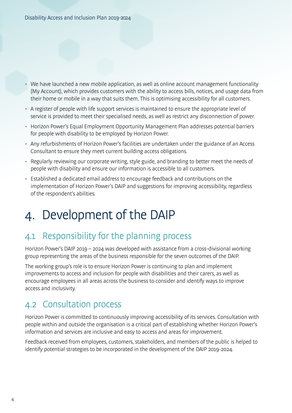- We have launched a new mobile application, as well as online account management functionality (My Account), which provides customers with the ability to access bills, notices, and usage data from their home or mobile in a way that suits them. This is optimising accessibility for all customers.
- A register of people with life support services is maintained to ensure the appropriate level of service is provided to meet their specialised needs, as well as restrict any disconnection of power.
- Horizon Power's Equal Employment Opportunity Management Plan addresses potential barriers for people with disability to be employed by Horizon Power.
- Any refurbishments of Horizon Power's facilities are undertaken under the guidance of an Access Consultant to ensure they meet current building access obligations.
- Regularly reviewing our corporate writing, style guide, and branding to better meet the needs of people with disability and ensure our information is accessible to all customers.
- Established a dedicated email address to encourage feedback and contributions on the implementation of Horizon Power's DAIP and suggestions for improving accessibility, regardless of the respondent's abilities.

# 4. Development of the DAIP

## 4.1 Responsibility for the planning process

Horizon Power's DAIP 2019 – 2024 was developed with assistance from a cross-divisional working group representing the areas of the business responsible for the seven outcomes of the DAIP.

The working group's role is to ensure Horizon Power is continuing to plan and implement improvements to access and inclusion for people with disabilities and their carers, as well as encourage employees in all areas across the business to consider and identify ways to improve access and inclusivity.

### 4.2 Consultation process

Horizon Power is committed to continuously improving accessibility of its services. Consultation with people within and outside the organisation is a critical part of establishing whether Horizon Power's information and services are inclusive and easy to access and areas for improvement.

Feedback received from employees, customers, stakeholders, and members of the public is helped to identify potential strategies to be incorporated in the development of the DAIP 2019-2024.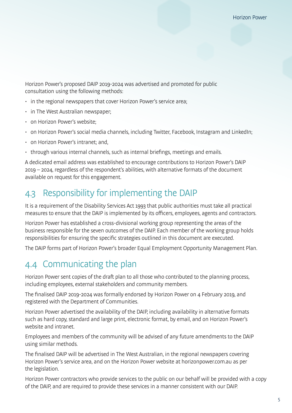Horizon Power's proposed DAIP 2019-2024 was advertised and promoted for public consultation using the following methods:

- in the regional newspapers that cover Horizon Power's service area;
- in The West Australian newspaper;
- on Horizon Power's website:
- on Horizon Power's social media channels, including Twitter, Facebook, Instagram and LinkedIn;
- on Horizon Power's intranet; and,
- through various internal channels, such as internal briefings, meetings and emails.

A dedicated email address was established to encourage contributions to Horizon Power's DAIP 2019 – 2024, regardless of the respondent's abilities, with alternative formats of the document available on request for this engagement.

### 4.3 Responsibility for implementing the DAIP

It is a requirement of the Disability Services Act 1993 that public authorities must take all practical measures to ensure that the DAIP is implemented by its officers, employees, agents and contractors.

Horizon Power has established a cross-divisional working group representing the areas of the business responsible for the seven outcomes of the DAIP. Each member of the working group holds responsibilities for ensuring the specific strategies outlined in this document are executed.

The DAIP forms part of Horizon Power's broader Equal Employment Opportunity Management Plan.

### 4.4 Communicating the plan

Horizon Power sent copies of the draft plan to all those who contributed to the planning process, including employees, external stakeholders and community members.

The finalised DAIP 2019-2024 was formally endorsed by Horizon Power on 4 February 2019, and registered with the Department of Communities.

Horizon Power advertised the availability of the DAIP, including availability in alternative formats such as hard copy, standard and large print, electronic format, by email, and on Horizon Power's website and intranet.

Employees and members of the community will be advised of any future amendments to the DAIP using similar methods.

The finalised DAIP will be advertised in The West Australian, in the regional newspapers covering Horizon Power's service area, and on the Horizon Power website at horizonpower.com.au as per the legislation.

Horizon Power contractors who provide services to the public on our behalf will be provided with a copy of the DAIP, and are required to provide these services in a manner consistent with our DAIP.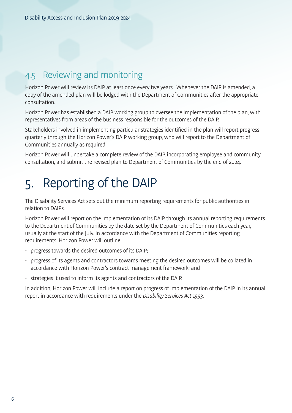## 4.5 Reviewing and monitoring

Horizon Power will review its DAIP at least once every five years. Whenever the DAIP is amended, a copy of the amended plan will be lodged with the Department of Communities after the appropriate consultation.

Horizon Power has established a DAIP working group to oversee the implementation of the plan, with representatives from areas of the business responsible for the outcomes of the DAIP.

Stakeholders involved in implementing particular strategies identified in the plan will report progress quarterly through the Horizon Power's DAIP working group, who will report to the Department of Communities annually as required.

Horizon Power will undertake a complete review of the DAIP, incorporating employee and community consultation, and submit the revised plan to Department of Communities by the end of 2024.

# 5. Reporting of the DAIP

The Disability Services Act sets out the minimum reporting requirements for public authorities in relation to DAIPs.

Horizon Power will report on the implementation of its DAIP through its annual reporting requirements to the Department of Communities by the date set by the Department of Communities each year, usually at the start of the July. In accordance with the Department of Communities reporting requirements, Horizon Power will outline:

- progress towards the desired outcomes of its DAIP;
- progress of its agents and contractors towards meeting the desired outcomes will be collated in accordance with Horizon Power's contract management framework; and
- strategies it used to inform its agents and contractors of the DAIP.

In addition, Horizon Power will include a report on progress of implementation of the DAIP in its annual report in accordance with requirements under the Disability Services Act 1993.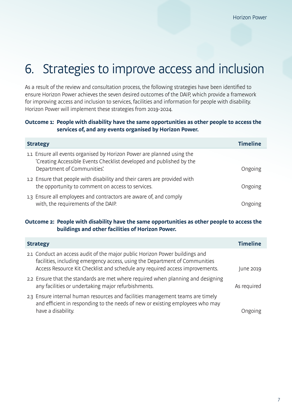# 6. Strategies to improve access and inclusion

As a result of the review and consultation process, the following strategies have been identified to ensure Horizon Power achieves the seven desired outcomes of the DAIP, which provide a framework for improving access and inclusion to services, facilities and information for people with disability. Horizon Power will implement these strategies from 2019-2024.

#### **Outcome 1: People with disability have the same opportunities as other people to access the services of, and any events organised by Horizon Power.**

| <b>Timeline</b><br><b>Strategy</b>                                                                                                                                            |         |
|-------------------------------------------------------------------------------------------------------------------------------------------------------------------------------|---------|
| 1.1 Ensure all events organised by Horizon Power are planned using the<br>'Creating Accessible Events Checklist developed and published by the<br>Department of Communities'. | Ongoing |
| 1.2 Ensure that people with disability and their carers are provided with<br>the opportunity to comment on access to services.                                                | Ongoing |
| 1.3 Ensure all employees and contractors are aware of, and comply<br>with, the requirements of the DAIP.                                                                      | Ongoing |

#### **Outcome 2: People with disability have the same opportunities as other people to access the buildings and other facilities of Horizon Power.**

| <b>Strategy</b>                                                                                                                                                                                                                            |             |
|--------------------------------------------------------------------------------------------------------------------------------------------------------------------------------------------------------------------------------------------|-------------|
| 2.1 Conduct an access audit of the major public Horizon Power buildings and<br>facilities, including emergency access, using the Department of Communities<br>Access Resource Kit Checklist and schedule any required access improvements. | une 2019    |
| 2.2 Ensure that the standards are met where required when planning and designing<br>any facilities or undertaking major refurbishments.                                                                                                    | As required |
| 2.3 Ensure internal human resources and facilities management teams are timely<br>and efficient in responding to the needs of new or existing employees who may<br>have a disability.                                                      |             |
|                                                                                                                                                                                                                                            |             |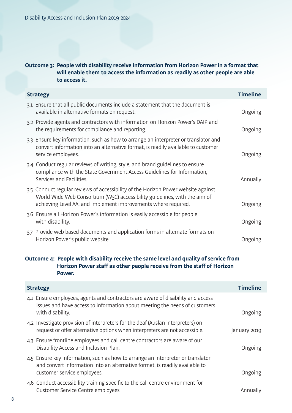### **Outcome 3: People with disability receive information from Horizon Power in a format that will enable them to access the information as readily as other people are able to access it.**

| <b>Strategy</b> |                                                                                                                                                                                                                                  | <b>Timeline</b> |
|-----------------|----------------------------------------------------------------------------------------------------------------------------------------------------------------------------------------------------------------------------------|-----------------|
|                 | 3.1 Ensure that all public documents include a statement that the document is<br>available in alternative formats on request.                                                                                                    | Ongoing         |
|                 | 3.2 Provide agents and contractors with information on Horizon Power's DAIP and<br>the requirements for compliance and reporting.                                                                                                | Ongoing         |
|                 | 3.3 Ensure key information, such as how to arrange an interpreter or translator and<br>convert information into an alternative format, is readily available to customer<br>service employees.                                    | Ongoing         |
|                 | 3.4 Conduct regular reviews of writing, style, and brand guidelines to ensure<br>compliance with the State Government Access Guidelines for Information,<br>Services and Facilities.                                             | Annually        |
|                 | 3.5 Conduct regular reviews of accessibility of the Horizon Power website against<br>World Wide Web Consortium (W3C) accessibility guidelines, with the aim of<br>achieving Level AA, and implement improvements where required. | Ongoing         |
|                 | 3.6 Ensure all Horizon Power's information is easily accessible for people<br>with disability.                                                                                                                                   | Ongoing         |
|                 | 3.7 Provide web based documents and application forms in alternate formats on<br>Horizon Power's public website.                                                                                                                 | Ongoing         |

### **Outcome 4: People with disability receive the same level and quality of service from Horizon Power staff as other people receive from the staff of Horizon Power.**

| <b>Strategy</b>                                                                                                                                                                               | <b>Timeline</b> |
|-----------------------------------------------------------------------------------------------------------------------------------------------------------------------------------------------|-----------------|
| 4.1 Ensure employees, agents and contractors are aware of disability and access<br>issues and have access to information about meeting the needs of customers<br>with disability.             | Ongoing         |
| 4.2 Investigate provision of interpreters for the deaf (Auslan interpreters) on<br>request or offer alternative options when interpreters are not accessible.                                 | January 2019    |
| 4.3 Ensure frontline employees and call centre contractors are aware of our<br>Disability Access and Inclusion Plan.                                                                          | Ongoing         |
| 4.5 Ensure key information, such as how to arrange an interpreter or translator<br>and convert information into an alternative format, is readily available to<br>customer service employees. | Ongoing         |
| 4.6 Conduct accessibility training specific to the call centre environment for<br>Customer Service Centre employees.                                                                          | Annually        |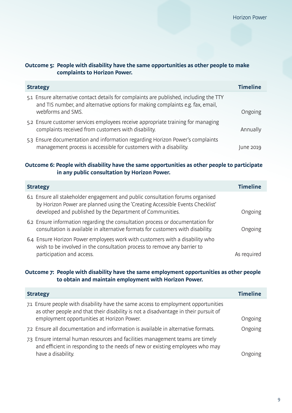### **Outcome 5: People with disability have the same opportunities as other people to make complaints to Horizon Power.**

| <b>Timeline</b><br><b>Strategy</b>                                                                                                                                                            |           |
|-----------------------------------------------------------------------------------------------------------------------------------------------------------------------------------------------|-----------|
| 5.1 Ensure alternative contact details for complaints are published, including the TTY<br>and TIS number, and alternative options for making complaints e.g. fax, email,<br>webforms and SMS. | Ongoing   |
| 5.2 Ensure customer services employees receive appropriate training for managing<br>complaints received from customers with disability.                                                       | Annually  |
| 5.3 Ensure documentation and information regarding Horizon Power's complaints<br>management process is accessible for customers with a disability.                                            | June 2019 |

#### **Outcome 6: People with disability have the same opportunities as other people to participate in any public consultation by Horizon Power.**

| <b>Timeline</b><br><b>Strategy</b>                                                                                                                                                                                           |             |
|------------------------------------------------------------------------------------------------------------------------------------------------------------------------------------------------------------------------------|-------------|
| 6.1 Ensure all stakeholder engagement and public consultation forums organised<br>by Horizon Power are planned using the 'Creating Accessible Events Checklist'<br>developed and published by the Department of Communities. | Ongoing     |
| 6.2 Ensure information regarding the consultation process or documentation for<br>consultation is available in alternative formats for customers with disability.                                                            | Ongoing     |
| 6.4 Ensure Horizon Power employees work with customers with a disability who<br>wish to be involved in the consultation process to remove any barrier to<br>participation and access.                                        | As required |

### **Outcome 7: People with disability have the same employment opportunities as other people to obtain and maintain employment with Horizon Power.**

| <b>Timeline</b><br><b>Strategy</b>                                                                                                                                                                                      |         |
|-------------------------------------------------------------------------------------------------------------------------------------------------------------------------------------------------------------------------|---------|
| 7.1 Ensure people with disability have the same access to employment opportunities<br>as other people and that their disability is not a disadvantage in their pursuit of<br>employment opportunities at Horizon Power. | Ongoing |
| 7.2 Ensure all documentation and information is available in alternative formats.                                                                                                                                       | Ongoing |
| 7.3 Ensure internal human resources and facilities management teams are timely<br>and efficient in responding to the needs of new or existing employees who may<br>have a disability.                                   | Ongoing |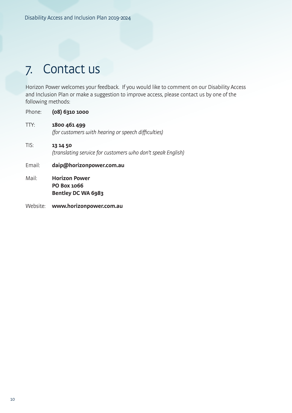# 7. Contact us

Horizon Power welcomes your feedback. If you would like to comment on our Disability Access and Inclusion Plan or make a suggestion to improve access, please contact us by one of the following methods:

| Phone:   | (08) 6310 1000                                                          |
|----------|-------------------------------------------------------------------------|
| TTY:     | 1800 461 499<br>(for customers with hearing or speech difficulties)     |
| TIS:     | 13 14 50<br>(translating service for customers who don't speak English) |
| Email:   | daip@horizonpower.com.au                                                |
| Mail:    | <b>Horizon Power</b><br><b>PO Box 1066</b><br>Bentley DC WA 6983        |
| Website: | www.horizonpower.com.au                                                 |